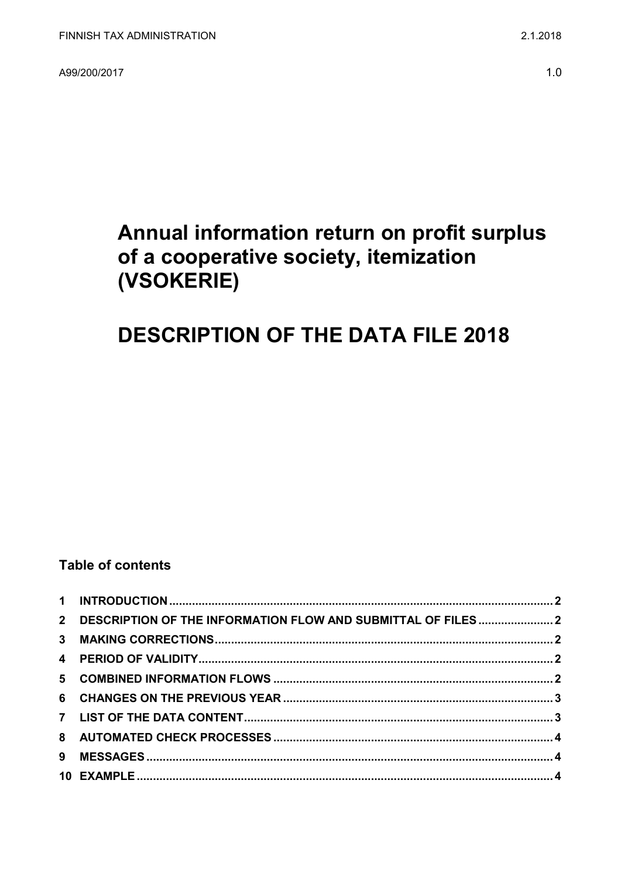A99/200/2017

# Annual information return on profit surplus of a cooperative society, itemization (VSOKERIE)

# **DESCRIPTION OF THE DATA FILE 2018**

### **Table of contents**

| 2 DESCRIPTION OF THE INFORMATION FLOW AND SUBMITTAL OF FILES  2 |  |
|-----------------------------------------------------------------|--|
|                                                                 |  |
|                                                                 |  |
|                                                                 |  |
|                                                                 |  |
|                                                                 |  |
|                                                                 |  |
|                                                                 |  |
|                                                                 |  |
|                                                                 |  |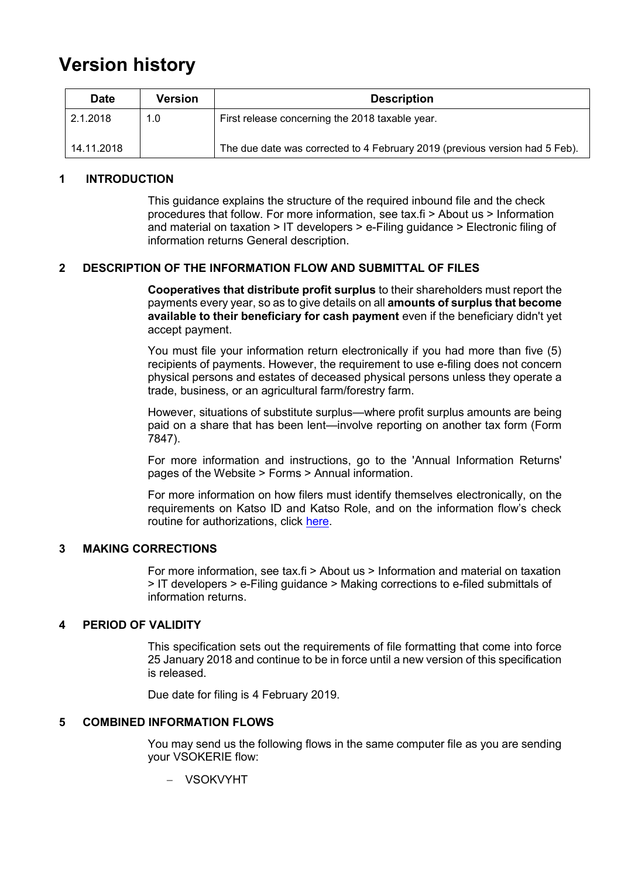## **Version history**

| <b>Date</b> | Version | <b>Description</b>                                                          |
|-------------|---------|-----------------------------------------------------------------------------|
| 2.1.2018    | 1.0     | First release concerning the 2018 taxable year.                             |
| 14.11.2018  |         | The due date was corrected to 4 February 2019 (previous version had 5 Feb). |

#### <span id="page-1-0"></span>**1 INTRODUCTION**

This guidance explains the structure of the required inbound file and the check procedures that follow. For more information, see tax.fi > About us > Information and material on taxation > IT developers > e-Filing guidance > Electronic filing of information returns General description.

#### <span id="page-1-1"></span>**2 DESCRIPTION OF THE INFORMATION FLOW AND SUBMITTAL OF FILES**

**Cooperatives that distribute profit surplus** to their shareholders must report the payments every year, so as to give details on all **amounts of surplus that become available to their beneficiary for cash payment** even if the beneficiary didn't yet accept payment.

You must file your information return electronically if you had more than five (5) recipients of payments. However, the requirement to use e-filing does not concern physical persons and estates of deceased physical persons unless they operate a trade, business, or an agricultural farm/forestry farm.

However, situations of substitute surplus—where profit surplus amounts are being paid on a share that has been lent—involve reporting on another tax form (Form 7847).

For more information and instructions, go to the 'Annual Information Returns' pages of the Website > Forms > Annual information.

For more information on how filers must identify themselves electronically, on the requirements on Katso ID and Katso Role, and on the information flow's check routine for authorizations, click [here.](https://www.ilmoitin.fi/webtamo/sivut/IlmoituslajiRoolit?kieli=en&tv=VSOKERIE)

#### <span id="page-1-2"></span>**3 MAKING CORRECTIONS**

For more information, see tax.fi > About us > Information and material on taxation > IT developers > e-Filing guidance > Making corrections to e-filed submittals of information returns.

#### <span id="page-1-3"></span>**4 PERIOD OF VALIDITY**

This specification sets out the requirements of file formatting that come into force 25 January 2018 and continue to be in force until a new version of this specification is released.

Due date for filing is 4 February 2019.

#### <span id="page-1-4"></span>**5 COMBINED INFORMATION FLOWS**

You may send us the following flows in the same computer file as you are sending your VSOKERIE flow:

VSOKVYHT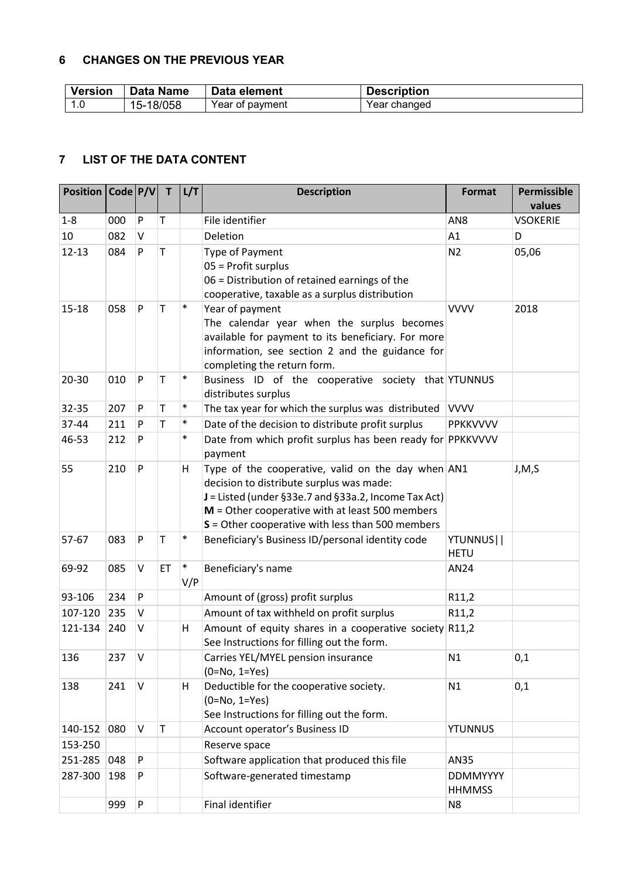#### <span id="page-2-0"></span>**6 CHANGES ON THE PREVIOUS YEAR**

| <b>Version</b> | Data Name | Data element    | <b>Description</b> |
|----------------|-----------|-----------------|--------------------|
| 1.0            | 15-18/058 | Year of payment | Year changed       |

### <span id="page-2-1"></span>**7 LIST OF THE DATA CONTENT**

| Position   Code   P/V |     |              | $\mathbf{T}$ | L/T           | <b>Description</b>                                                                                                                                                                                                                                                | Format                           | Permissible<br>values |
|-----------------------|-----|--------------|--------------|---------------|-------------------------------------------------------------------------------------------------------------------------------------------------------------------------------------------------------------------------------------------------------------------|----------------------------------|-----------------------|
| $1 - 8$               | 000 | $\mathsf{P}$ | T            |               | File identifier                                                                                                                                                                                                                                                   | AN <sub>8</sub>                  | <b>VSOKERIE</b>       |
| 10                    | 082 | V            |              |               | Deletion                                                                                                                                                                                                                                                          | A1                               | D                     |
| $12 - 13$             | 084 | P            | $\mathsf T$  |               | Type of Payment<br>05 = Profit surplus<br>06 = Distribution of retained earnings of the<br>cooperative, taxable as a surplus distribution                                                                                                                         | N <sub>2</sub>                   | 05,06                 |
| $15 - 18$             | 058 | P            | $\mathsf T$  | $\ast$        | Year of payment<br>The calendar year when the surplus becomes<br>available for payment to its beneficiary. For more<br>information, see section 2 and the guidance for<br>completing the return form.                                                             | <b>VVVV</b>                      | 2018                  |
| 20-30                 | 010 | P            | T            | $\ast$        | Business ID of the cooperative society that YTUNNUS<br>distributes surplus                                                                                                                                                                                        |                                  |                       |
| 32-35                 | 207 | $\mathsf{P}$ | T            | $\ast$        | The tax year for which the surplus was distributed                                                                                                                                                                                                                | <b>VVVV</b>                      |                       |
| 37-44                 | 211 | P            | T.           | $\ast$        | Date of the decision to distribute profit surplus                                                                                                                                                                                                                 | PPKKVVVV                         |                       |
| 46-53                 | 212 | P            |              | $\ast$        | Date from which profit surplus has been ready for PPKKVVVV<br>payment                                                                                                                                                                                             |                                  |                       |
| 55                    | 210 | P            |              | н             | Type of the cooperative, valid on the day when AN1<br>decision to distribute surplus was made:<br>J = Listed (under §33e.7 and §33a.2, Income Tax Act)<br>$M =$ Other cooperative with at least 500 members<br>$S =$ Other cooperative with less than 500 members |                                  | J, M, S               |
| 57-67                 | 083 | P            | $\mathsf T$  | $\ast$        | Beneficiary's Business ID/personal identity code                                                                                                                                                                                                                  | YTUNNUS  <br><b>HETU</b>         |                       |
| 69-92                 | 085 | V            | ET           | $\ast$<br>V/P | Beneficiary's name                                                                                                                                                                                                                                                | AN24                             |                       |
| 93-106                | 234 | P            |              |               | Amount of (gross) profit surplus                                                                                                                                                                                                                                  | R11,2                            |                       |
| 107-120               | 235 | V            |              |               | Amount of tax withheld on profit surplus                                                                                                                                                                                                                          | R11,2                            |                       |
| 121-134               | 240 | V            |              | Η             | Amount of equity shares in a cooperative society R11,2<br>See Instructions for filling out the form.                                                                                                                                                              |                                  |                       |
| 136                   | 237 | V            |              |               | Carries YEL/MYEL pension insurance<br>$(0=No, 1=Yes)$                                                                                                                                                                                                             | N1                               | 0,1                   |
| 138                   | 241 | V            |              | н             | Deductible for the cooperative society.<br>$(0=No, 1=Yes)$<br>See Instructions for filling out the form.                                                                                                                                                          | N1                               | 0,1                   |
| 140-152               | 080 | $\mathsf{V}$ | $\mathsf T$  |               | Account operator's Business ID                                                                                                                                                                                                                                    | <b>YTUNNUS</b>                   |                       |
| 153-250               |     |              |              |               | Reserve space                                                                                                                                                                                                                                                     |                                  |                       |
| 251-285               | 048 | P            |              |               | Software application that produced this file                                                                                                                                                                                                                      | AN35                             |                       |
| 287-300               | 198 | P            |              |               | Software-generated timestamp                                                                                                                                                                                                                                      | <b>DDMMYYYY</b><br><b>HHMMSS</b> |                       |
|                       | 999 | P            |              |               | Final identifier                                                                                                                                                                                                                                                  | N <sub>8</sub>                   |                       |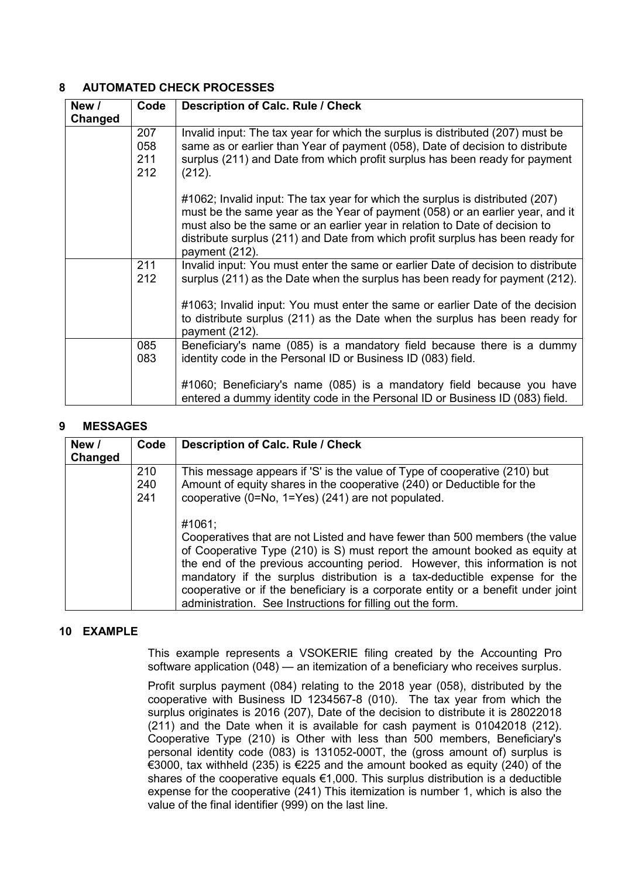#### <span id="page-3-0"></span>**8 AUTOMATED CHECK PROCESSES**

| New /<br>Changed | Code                     | <b>Description of Calc. Rule / Check</b>                                                                                                                                                                                                                                                                                                           |
|------------------|--------------------------|----------------------------------------------------------------------------------------------------------------------------------------------------------------------------------------------------------------------------------------------------------------------------------------------------------------------------------------------------|
|                  | 207<br>058<br>211<br>212 | Invalid input: The tax year for which the surplus is distributed (207) must be<br>same as or earlier than Year of payment (058), Date of decision to distribute<br>surplus (211) and Date from which profit surplus has been ready for payment<br>(212).                                                                                           |
|                  |                          | #1062; Invalid input: The tax year for which the surplus is distributed (207)<br>must be the same year as the Year of payment (058) or an earlier year, and it<br>must also be the same or an earlier year in relation to Date of decision to<br>distribute surplus (211) and Date from which profit surplus has been ready for<br>payment (212).  |
|                  | 211<br>212               | Invalid input: You must enter the same or earlier Date of decision to distribute<br>surplus (211) as the Date when the surplus has been ready for payment (212).<br>#1063; Invalid input: You must enter the same or earlier Date of the decision<br>to distribute surplus (211) as the Date when the surplus has been ready for<br>payment (212). |
|                  | 085<br>083               | Beneficiary's name (085) is a mandatory field because there is a dummy<br>identity code in the Personal ID or Business ID (083) field.<br>#1060; Beneficiary's name (085) is a mandatory field because you have<br>entered a dummy identity code in the Personal ID or Business ID (083) field.                                                    |

#### <span id="page-3-1"></span>**9 MESSAGES**

| New /<br>Changed | Code              | Description of Calc. Rule / Check                                                                                                                                                                                                                                                                                                                                                                                                                                                 |
|------------------|-------------------|-----------------------------------------------------------------------------------------------------------------------------------------------------------------------------------------------------------------------------------------------------------------------------------------------------------------------------------------------------------------------------------------------------------------------------------------------------------------------------------|
|                  | 210<br>240<br>241 | This message appears if 'S' is the value of Type of cooperative (210) but<br>Amount of equity shares in the cooperative (240) or Deductible for the<br>cooperative (0=No, 1=Yes) (241) are not populated.                                                                                                                                                                                                                                                                         |
|                  |                   | #1061:<br>Cooperatives that are not Listed and have fewer than 500 members (the value<br>of Cooperative Type (210) is S) must report the amount booked as equity at<br>the end of the previous accounting period. However, this information is not<br>mandatory if the surplus distribution is a tax-deductible expense for the<br>cooperative or if the beneficiary is a corporate entity or a benefit under joint<br>administration. See Instructions for filling out the form. |

#### <span id="page-3-2"></span>**10 EXAMPLE**

This example represents a VSOKERIE filing created by the Accounting Pro software application (048) — an itemization of a beneficiary who receives surplus.

Profit surplus payment (084) relating to the 2018 year (058), distributed by the cooperative with Business ID 1234567-8 (010). The tax year from which the surplus originates is 2016 (207), Date of the decision to distribute it is 28022018 (211) and the Date when it is available for cash payment is 01042018 (212). Cooperative Type (210) is Other with less than 500 members, Beneficiary's personal identity code (083) is 131052-000T, the (gross amount of) surplus is €3000, tax withheld (235) is €225 and the amount booked as equity (240) of the shares of the cooperative equals €1,000. This surplus distribution is a deductible expense for the cooperative (241) This itemization is number 1, which is also the value of the final identifier (999) on the last line.